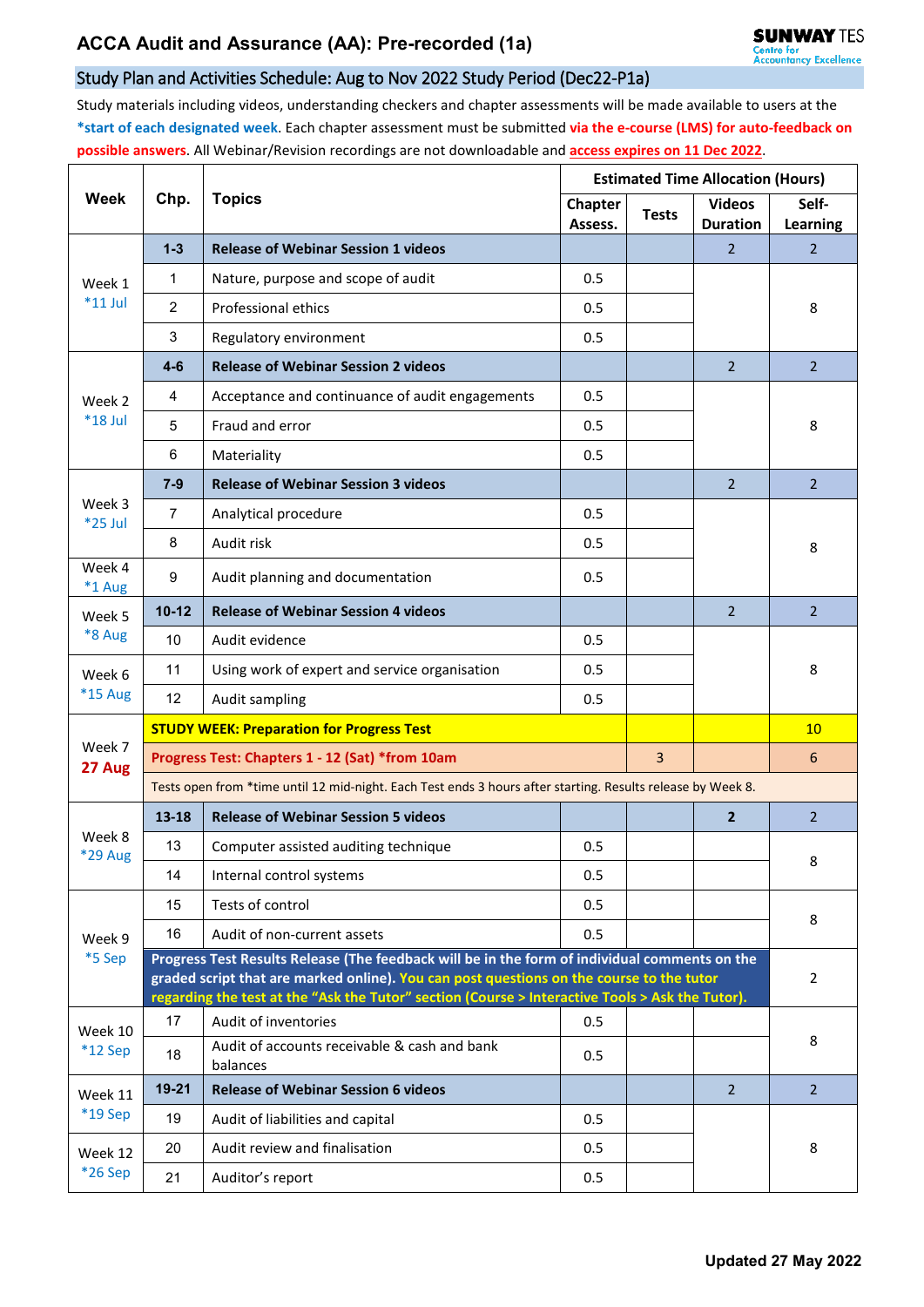## Study Plan and Activities Schedule: Aug to Nov 2022 Study Period (Dec22-P1a)

Study materials including videos, understanding checkers and chapter assessments will be made available to users at the **\*start of each designated week**. Each chapter assessment must be submitted **via the e-course (LMS) for auto-feedback on possible answers**. All Webinar/Revision recordings are not downloadable and **access expires on 11 Dec 2022**.

| <b>Week</b>                              | Chp.                                                                                                                                                                                        | <b>Topics</b>                                            | <b>Estimated Time Allocation (Hours)</b> |              |                                  |                          |  |  |  |
|------------------------------------------|---------------------------------------------------------------------------------------------------------------------------------------------------------------------------------------------|----------------------------------------------------------|------------------------------------------|--------------|----------------------------------|--------------------------|--|--|--|
|                                          |                                                                                                                                                                                             |                                                          | <b>Chapter</b><br>Assess.                | <b>Tests</b> | <b>Videos</b><br><b>Duration</b> | Self-<br><b>Learning</b> |  |  |  |
| Week 1<br>$*11$ Jul                      | $1 - 3$                                                                                                                                                                                     | <b>Release of Webinar Session 1 videos</b>               |                                          |              | 2                                | $\overline{2}$           |  |  |  |
|                                          | $\mathbf{1}$                                                                                                                                                                                | Nature, purpose and scope of audit                       | 0.5                                      |              |                                  |                          |  |  |  |
|                                          | $\overline{2}$                                                                                                                                                                              | Professional ethics                                      | 0.5                                      |              |                                  | 8                        |  |  |  |
|                                          | 3                                                                                                                                                                                           | Regulatory environment                                   | 0.5                                      |              |                                  |                          |  |  |  |
| Week 2<br>*18 Jul                        | $4-6$                                                                                                                                                                                       | <b>Release of Webinar Session 2 videos</b>               |                                          |              | $\overline{2}$                   | $\overline{2}$           |  |  |  |
|                                          | 4                                                                                                                                                                                           | Acceptance and continuance of audit engagements          | 0.5                                      |              |                                  | 8                        |  |  |  |
|                                          | 5                                                                                                                                                                                           | Fraud and error                                          | 0.5                                      |              |                                  |                          |  |  |  |
|                                          | 6                                                                                                                                                                                           | Materiality                                              | 0.5                                      |              |                                  |                          |  |  |  |
| Week 3<br>*25 Jul                        | $7 - 9$                                                                                                                                                                                     | <b>Release of Webinar Session 3 videos</b>               |                                          |              | $\overline{2}$                   | $\overline{2}$           |  |  |  |
|                                          | 7                                                                                                                                                                                           | Analytical procedure                                     | 0.5                                      |              |                                  |                          |  |  |  |
|                                          | 8                                                                                                                                                                                           | Audit risk                                               | 0.5                                      |              |                                  | 8                        |  |  |  |
| Week 4<br>*1 Aug                         | 9                                                                                                                                                                                           | Audit planning and documentation                         | 0.5                                      |              |                                  |                          |  |  |  |
| Week 5<br>*8 Aug                         | $10 - 12$                                                                                                                                                                                   | <b>Release of Webinar Session 4 videos</b>               |                                          |              | $\overline{2}$                   | $\overline{2}$           |  |  |  |
|                                          | 10                                                                                                                                                                                          | Audit evidence                                           | 0.5                                      |              |                                  |                          |  |  |  |
| Week 6                                   | 11                                                                                                                                                                                          | Using work of expert and service organisation            | 0.5                                      |              |                                  | 8                        |  |  |  |
| <b>*15 Aug</b>                           | 12                                                                                                                                                                                          | Audit sampling                                           | 0.5                                      |              |                                  |                          |  |  |  |
|                                          | <b>STUDY WEEK: Preparation for Progress Test</b>                                                                                                                                            |                                                          |                                          |              |                                  | 10                       |  |  |  |
| Week 7<br>27 Aug                         | Progress Test: Chapters 1 - 12 (Sat) *from 10am                                                                                                                                             |                                                          |                                          |              |                                  | 6                        |  |  |  |
|                                          | Tests open from *time until 12 mid-night. Each Test ends 3 hours after starting. Results release by Week 8.                                                                                 |                                                          |                                          |              |                                  |                          |  |  |  |
| Week 8<br>*29 Aug                        | $13 - 18$                                                                                                                                                                                   | <b>Release of Webinar Session 5 videos</b>               |                                          |              | $\overline{2}$                   | $\overline{2}$           |  |  |  |
|                                          | 13                                                                                                                                                                                          | Computer assisted auditing technique                     | 0.5                                      |              |                                  | 8                        |  |  |  |
|                                          | 14                                                                                                                                                                                          | Internal control systems                                 | 0.5                                      |              |                                  |                          |  |  |  |
| Week 9<br>*5 Sep                         | 15                                                                                                                                                                                          | Tests of control                                         | 0.5                                      |              |                                  | 8                        |  |  |  |
|                                          | 16                                                                                                                                                                                          | Audit of non-current assets                              | 0.5                                      |              |                                  |                          |  |  |  |
|                                          | Progress Test Results Release (The feedback will be in the form of individual comments on the                                                                                               |                                                          |                                          |              |                                  |                          |  |  |  |
|                                          | graded script that are marked online). You can post questions on the course to the tutor<br>regarding the test at the "Ask the Tutor" section (Course > Interactive Tools > Ask the Tutor). |                                                          |                                          |              |                                  | 2                        |  |  |  |
| Week 10                                  | 17                                                                                                                                                                                          | Audit of inventories                                     | 0.5                                      |              |                                  |                          |  |  |  |
| $*12$ Sep                                | 18                                                                                                                                                                                          | Audit of accounts receivable & cash and bank<br>balances | 0.5                                      |              |                                  | 8                        |  |  |  |
| Week 11<br>*19 Sep<br>Week 12<br>*26 Sep | 19-21                                                                                                                                                                                       | <b>Release of Webinar Session 6 videos</b>               |                                          |              | $\overline{2}$                   | $\overline{2}$           |  |  |  |
|                                          | 19                                                                                                                                                                                          | Audit of liabilities and capital                         | 0.5                                      |              |                                  |                          |  |  |  |
|                                          | 20                                                                                                                                                                                          | Audit review and finalisation                            | 0.5                                      |              |                                  | 8                        |  |  |  |
|                                          | 21                                                                                                                                                                                          | Auditor's report                                         | 0.5                                      |              |                                  |                          |  |  |  |